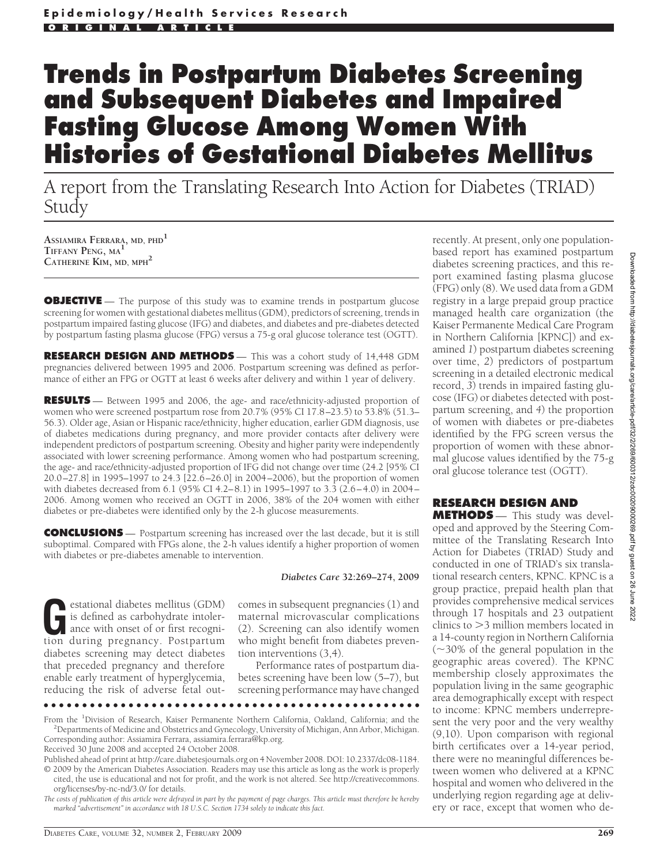# **Trends in Postpartum Diabetes Screening and Subsequent Diabetes and Impaired Fasting Glucose Among Women With Histories of Gestational Diabetes Mellitus**

A report from the Translating Research Into Action for Diabetes (TRIAD) Study

**ASSIAMIRA FERRARA, MD, PHD<sup>1</sup> TIFFANY PENG, MA<sup>1</sup> CATHERINE KIM, MD, MPH<sup>2</sup>**

**OBJECTIVE** — The purpose of this study was to examine trends in postpartum glucose screening for women with gestational diabetes mellitus (GDM), predictors of screening, trends in postpartum impaired fasting glucose (IFG) and diabetes, and diabetes and pre-diabetes detected by postpartum fasting plasma glucose (FPG) versus a 75-g oral glucose tolerance test (OGTT).

**RESEARCH DESIGN AND METHODS** — This was a cohort study of 14,448 GDM pregnancies delivered between 1995 and 2006. Postpartum screening was defined as performance of either an FPG or OGTT at least 6 weeks after delivery and within 1 year of delivery.

**RESULTS** — Between 1995 and 2006, the age- and race/ethnicity-adjusted proportion of women who were screened postpartum rose from 20.7% (95% CI 17.8–23.5) to 53.8% (51.3– 56.3). Older age, Asian or Hispanic race/ethnicity, higher education, earlier GDM diagnosis, use of diabetes medications during pregnancy, and more provider contacts after delivery were independent predictors of postpartum screening. Obesity and higher parity were independently associated with lower screening performance. Among women who had postpartum screening, the age- and race/ethnicity-adjusted proportion of IFG did not change over time (24.2 [95% CI 20.0–27.8] in 1995–1997 to 24.3 [22.6–26.0] in 2004–2006), but the proportion of women with diabetes decreased from 6.1 (95% CI 4.2–8.1) in 1995–1997 to 3.3 (2.6–4.0) in 2004– 2006. Among women who received an OGTT in 2006, 38% of the 204 women with either diabetes or pre-diabetes were identified only by the 2-h glucose measurements.

**CONCLUSIONS** — Postpartum screening has increased over the last decade, but it is still suboptimal. Compared with FPGs alone, the 2-h values identify a higher proportion of women with diabetes or pre-diabetes amenable to intervention.

*Diabetes Care* **32:269–274, 2009**

Experience diabetes mellitus (GDM)<br>
is defined as carbohydrate intoler-<br>
ance with onset of or first recogni-<br>
tion during pregnancy Postpartum is defined as carbohydrate intolertion during pregnancy. Postpartum diabetes screening may detect diabetes that preceded pregnancy and therefore enable early treatment of hyperglycemia, reducing the risk of adverse fetal outcomes in subsequent pregnancies (1) and maternal microvascular complications (2). Screening can also identify women who might benefit from diabetes prevention interventions (3,4).

Performance rates of postpartum diabetes screening have been low (5–7), but screening performance may have changed

●●●●●●●●●●●●●●●●●●●●●●●●●●●●●●●●●●●●●●●●●●●●●●●●●

recently. At present, only one populationbased report has examined postpartum diabetes screening practices, and this report examined fasting plasma glucose (FPG) only (8). We used data from a GDM registry in a large prepaid group practice managed health care organization (the Kaiser Permanente Medical Care Program in Northern California [KPNC]) and examined *1*) postpartum diabetes screening over time, *2*) predictors of postpartum screening in a detailed electronic medical record, *3*) trends in impaired fasting glucose (IFG) or diabetes detected with postpartum screening, and *4*) the proportion of women with diabetes or pre-diabetes identified by the FPG screen versus the proportion of women with these abnormal glucose values identified by the 75-g oral glucose tolerance test (OGTT).

# **RESEARCH DESIGN AND**

**METHODS** — This study was developed and approved by the Steering Committee of the Translating Research Into Action for Diabetes (TRIAD) Study and conducted in one of TRIAD's six translational research centers, KPNC. KPNC is a group practice, prepaid health plan that provides comprehensive medical services through 17 hospitals and 23 outpatient clinics to 3 million members located in a 14-county region in Northern California  $(\sim]30\%$  of the general population in the geographic areas covered). The KPNC membership closely approximates the population living in the same geographic area demographically except with respect to income: KPNC members underrepresent the very poor and the very wealthy (9,10). Upon comparison with regional birth certificates over a 14-year period, there were no meaningful differences between women who delivered at a KPNC hospital and women who delivered in the underlying region regarding age at delivery or race, except that women who de-

From the <sup>1</sup>Division of Research, Kaiser Permanente Northern California, Oakland, California; and the <sup>2</sup>Departments of Medicine and Obstetrics and Gynecology University of Michigan, Ann Arbor Michigan <sup>2</sup> Departments of Medicine and Obstetrics and Gynecology, University of Michigan, Ann Arbor, Michigan. Corresponding author: Assiamira Ferrara, assiamira.ferrara@kp.org.

Received 30 June 2008 and accepted 24 October 2008.

Published ahead of print at http://care.diabetesjournals.org on 4 November 2008. DOI: 10.2337/dc08-1184. © 2009 by the American Diabetes Association. Readers may use this article as long as the work is properly cited, the use is educational and not for profit, and the work is not altered. See http://creativecommons. org/licenses/by-nc-nd/3.0/ for details.

*The costs of publication of this article were defrayed in part by the payment of page charges. This article must therefore be hereby marked "advertisement" in accordance with 18 U.S.C. Section 1734 solely to indicate this fact.*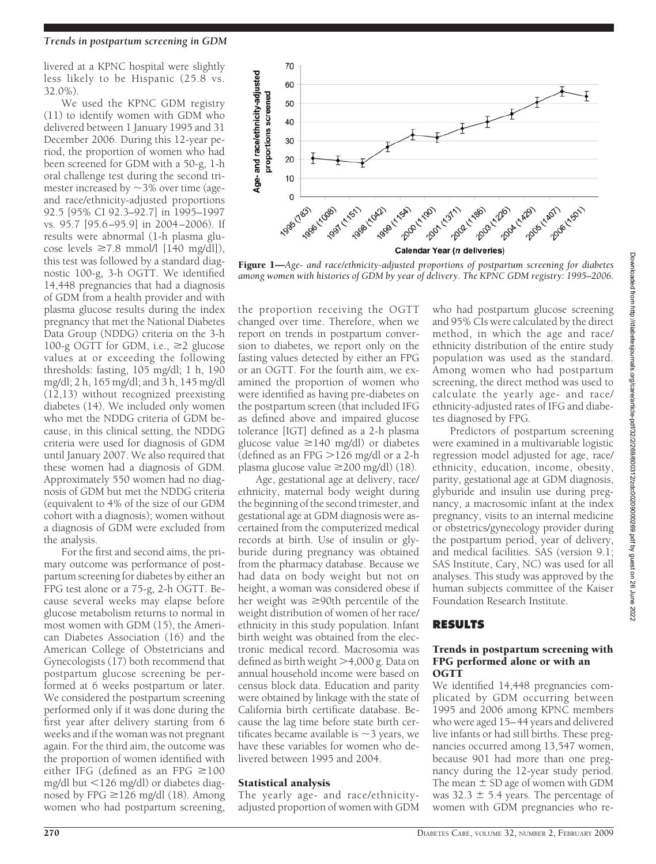# *Trends in postpartum screening in GDM*

livered at a KPNC hospital were slightly less likely to be Hispanic (25.8 vs. 32.0%).

We used the KPNC GDM registry (11) to identify women with GDM who delivered between 1 January 1995 and 31 December 2006. During this 12-year period, the proportion of women who had been screened for GDM with a 50-g, 1-h oral challenge test during the second trimester increased by  $\sim$ 3% over time (ageand race/ethnicity-adjusted proportions 92.5 [95% CI 92.3–92.7] in 1995–1997 vs. 95.7 [95.6–95.9] in 2004–2006). If results were abnormal (1-h plasma glucose levels  $\geq 7.8$  mmol/l [140 mg/dl]), this test was followed by a standard diagnostic 100-g, 3-h OGTT. We identified 14,448 pregnancies that had a diagnosis of GDM from a health provider and with plasma glucose results during the index pregnancy that met the National Diabetes Data Group (NDDG) criteria on the 3-h 100-g OGTT for GDM, i.e.,  $\geq 2$  glucose values at or exceeding the following thresholds: fasting, 105 mg/dl; 1 h, 190 mg/dl; 2 h, 165 mg/dl; and 3 h, 145 mg/dl (12,13) without recognized preexisting diabetes (14). We included only women who met the NDDG criteria of GDM because, in this clinical setting, the NDDG criteria were used for diagnosis of GDM until January 2007. We also required that these women had a diagnosis of GDM. Approximately 550 women had no diagnosis of GDM but met the NDDG criteria (equivalent to 4% of the size of our GDM cohort with a diagnosis); women without a diagnosis of GDM were excluded from the analysis.

For the first and second aims, the primary outcome was performance of postpartum screening for diabetes by either an FPG test alone or a 75-g, 2-h OGTT. Because several weeks may elapse before glucose metabolism returns to normal in most women with GDM (15), the American Diabetes Association (16) and the American College of Obstetricians and Gynecologists (17) both recommend that postpartum glucose screening be performed at 6 weeks postpartum or later. We considered the postpartum screening performed only if it was done during the first year after delivery starting from 6 weeks and if the woman was not pregnant again. For the third aim, the outcome was the proportion of women identified with either IFG (defined as an FPG  $\geq 100$ mg/dl but  $\langle 126 \text{ mg/dl} \rangle$  or diabetes diagnosed by FPG  $\geq$  126 mg/dl (18). Among women who had postpartum screening,



Figure 1—*Age- and race/ethnicity-adjusted proportions of postpartum screening for diabetes among women with histories of GDM by year of delivery. The KPNC GDM registry: 1995–2006.*

the proportion receiving the OGTT changed over time. Therefore, when we report on trends in postpartum conversion to diabetes, we report only on the fasting values detected by either an FPG or an OGTT. For the fourth aim, we examined the proportion of women who were identified as having pre-diabetes on the postpartum screen (that included IFG as defined above and impaired glucose tolerance [IGT] defined as a 2-h plasma glucose value  $\geq$ 140 mg/dl) or diabetes (defined as an FPG  $>$ 126 mg/dl or a 2-h plasma glucose value  $\geq$ 200 mg/dl) (18).

Age, gestational age at delivery, race/ ethnicity, maternal body weight during the beginning of the second trimester, and gestational age at GDM diagnosis were ascertained from the computerized medical records at birth. Use of insulin or glyburide during pregnancy was obtained from the pharmacy database. Because we had data on body weight but not on height, a woman was considered obese if her weight was  $\geq 90$ th percentile of the weight distribution of women of her race/ ethnicity in this study population. Infant birth weight was obtained from the electronic medical record. Macrosomia was defined as birth weight  $>$ 4,000 g. Data on annual household income were based on census block data. Education and parity were obtained by linkage with the state of California birth certificate database. Because the lag time before state birth certificates became available is  ${\sim}$ 3 years, we have these variables for women who delivered between 1995 and 2004.

#### Statistical analysis

The yearly age- and race/ethnicityadjusted proportion of women with GDM who had postpartum glucose screening and 95% CIs were calculated by the direct method, in which the age and race/ ethnicity distribution of the entire study population was used as the standard. Among women who had postpartum screening, the direct method was used to calculate the yearly age- and race/ ethnicity-adjusted rates of IFG and diabetes diagnosed by FPG.

Predictors of postpartum screening were examined in a multivariable logistic regression model adjusted for age, race/ ethnicity, education, income, obesity, parity, gestational age at GDM diagnosis, glyburide and insulin use during pregnancy, a macrosomic infant at the index pregnancy, visits to an internal medicine or obstetrics/gynecology provider during the postpartum period, year of delivery, and medical facilities. SAS (version 9.1; SAS Institute, Cary, NC) was used for all analyses. This study was approved by the human subjects committee of the Kaiser Foundation Research Institute.

# **RESULTS**

### Trends in postpartum screening with FPG performed alone or with an OGTT

We identified 14,448 pregnancies complicated by GDM occurring between 1995 and 2006 among KPNC members who were aged 15–44 years and delivered live infants or had still births. These pregnancies occurred among 13,547 women, because 901 had more than one pregnancy during the 12-year study period. The mean  $\pm$  SD age of women with GDM was  $32.3 \pm 5.4$  years. The percentage of women with GDM pregnancies who re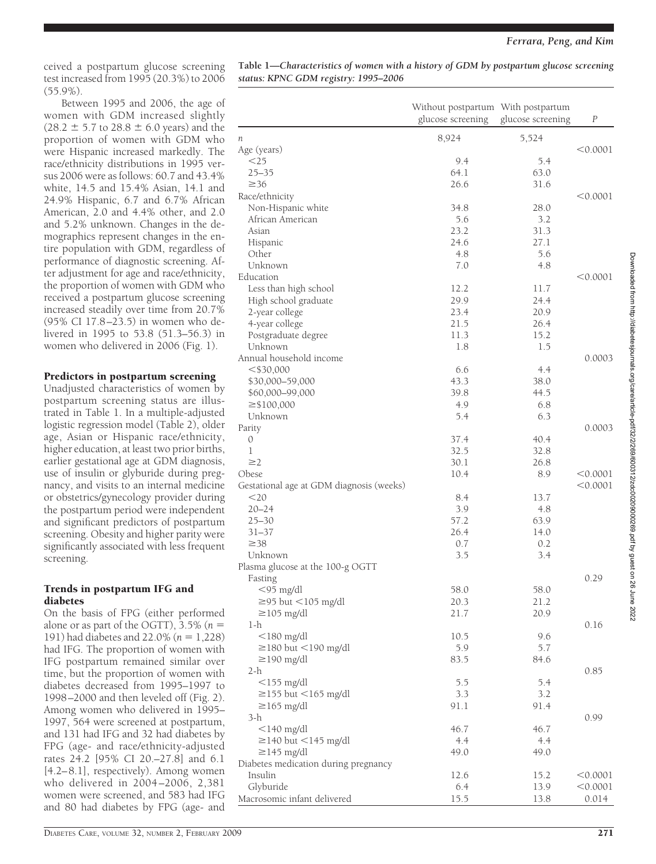ceived a postpartum glucose screening test increased from 1995 (20.3%) to 2006 (55.9%).

Between 1995 and 2006, the age of women with GDM increased slightly  $(28.2 \pm 5.7 \text{ to } 28.8 \pm 6.0 \text{ years})$  and the proportion of women with GDM who were Hispanic increased markedly. The race/ethnicity distributions in 1995 versus 2006 were as follows: 60.7 and 43.4% white, 14.5 and 15.4% Asian, 14.1 and 24.9% Hispanic, 6.7 and 6.7% African American, 2.0 and 4.4% other, and 2.0 and 5.2% unknown. Changes in the demographics represent changes in the entire population with GDM, regardless of performance of diagnostic screening. After adjustment for age and race/ethnicity, the proportion of women with GDM who received a postpartum glucose screening increased steadily over time from 20.7% (95% CI 17.8–23.5) in women who delivered in 1995 to 53.8 (51.3–56.3) in women who delivered in 2006 (Fig. 1).

# Predictors in postpartum screening

Unadjusted characteristics of women by postpartum screening status are illustrated in Table 1. In a multiple-adjusted logistic regression model (Table 2), older age, Asian or Hispanic race/ethnicity, higher education, at least two prior births, earlier gestational age at GDM diagnosis, use of insulin or glyburide during pregnancy, and visits to an internal medicine or obstetrics/gynecology provider during the postpartum period were independent and significant predictors of postpartum screening. Obesity and higher parity were significantly associated with less frequent screening.

# Trends in postpartum IFG and diabetes

On the basis of FPG (either performed alone or as part of the OGTT),  $3.5\%$  ( $n =$ 191) had diabetes and 22.0% ( $n = 1,228$ ) had IFG. The proportion of women with IFG postpartum remained similar over time, but the proportion of women with diabetes decreased from 1995–1997 to 1998–2000 and then leveled off (Fig. 2). Among women who delivered in 1995– 1997, 564 were screened at postpartum, and 131 had IFG and 32 had diabetes by FPG (age- and race/ethnicity-adjusted rates 24.2 [95% CI 20.–27.8] and 6.1 [4.2–8.1], respectively). Among women who delivered in 2004–2006, 2,381 women were screened, and 583 had IFG and 80 had diabetes by FPG (age- and

**Table 1—***Characteristics of women with a history of GDM by postpartum glucose screening status: KPNC GDM registry: 1995–2006*

|                                          | Without postpartum With postpartum<br>glucose screening | glucose screening | P        |
|------------------------------------------|---------------------------------------------------------|-------------------|----------|
| п                                        | 8,924                                                   | 5,524             |          |
| Age (years)                              |                                                         |                   | < 0.0001 |
| $<$ 25                                   | 9.4                                                     | 5.4               |          |
| $25 - 35$                                | 64.1                                                    | 63.0              |          |
| $\geq$ 36                                | 26.6                                                    | 31.6              |          |
| Race/ethnicity                           |                                                         |                   | < 0.0001 |
| Non-Hispanic white                       | 34.8                                                    | 28.0              |          |
| African American                         | 5.6                                                     | 3.2               |          |
| Asian                                    | 23.2                                                    | 31.3              |          |
| Hispanic                                 | 24.6                                                    | 27.1              |          |
| Other                                    | 4.8                                                     | 5.6               |          |
| Unknown                                  | 7.0                                                     | 4.8               |          |
| Education                                |                                                         |                   | < 0.0001 |
| Less than high school                    | 12.2                                                    | 11.7              |          |
| High school graduate                     | 29.9                                                    | 24.4              |          |
| 2-year college                           | 23.4                                                    | 20.9              |          |
| 4-year college                           | 21.5                                                    | 26.4              |          |
| Postgraduate degree                      | 11.3                                                    | 15.2              |          |
| Unknown                                  | 1.8                                                     | 1.5               |          |
| Annual household income                  |                                                         |                   | 0.0003   |
| $<$ \$30,000                             | 6.6                                                     | 4.4               |          |
| \$30,000-59,000                          | 43.3                                                    | 38.0              |          |
| \$60,000-99,000                          | 39.8                                                    | 44.5              |          |
| $\geq$ \$100,000                         | 4.9                                                     | 6.8               |          |
| Unknown                                  | 5.4                                                     | 6.3               |          |
| Parity                                   |                                                         |                   | 0.0003   |
| 0                                        | 37.4                                                    | 40.4              |          |
| 1                                        | 32.5                                                    | 32.8              |          |
| $\geq$ 2                                 | 30.1                                                    | 26.8              |          |
| Obese                                    | 10.4                                                    | 8.9               | < 0.0001 |
| Gestational age at GDM diagnosis (weeks) |                                                         |                   | < 0.0001 |
| $<$ 20                                   | 8.4                                                     | 13.7              |          |
| $20 - 24$<br>$25 - 30$                   | 3.9                                                     | 4.8               |          |
| $31 - 37$                                | 57.2<br>26.4                                            | 63.9<br>14.0      |          |
| $\geq 38$                                | 0.7                                                     | 0.2               |          |
| Unknown                                  | 3.5                                                     | 3.4               |          |
| Plasma glucose at the 100-g OGTT         |                                                         |                   |          |
| Fasting                                  |                                                         |                   | 0.29     |
| $<$ 95 mg/dl                             | 58.0                                                    | 58.0              |          |
| $\geq$ 95 but <105 mg/dl                 | 20.3                                                    | 21.2              |          |
| $\geq$ 105 mg/dl                         | 21.7                                                    | 20.9              |          |
| 1-h                                      |                                                         |                   | 0.16     |
| $<$ 180 mg/dl                            | 10.5                                                    | 9.6               |          |
| $\geq$ 180 but <190 mg/dl                | 5.9                                                     | 5.7               |          |
| $\geq$ 190 mg/dl                         | 83.5                                                    | 84.6              |          |
| 2-h                                      |                                                         |                   | 0.85     |
| $<$ 155 mg/dl                            | 5.5                                                     | 5.4               |          |
| $\geq$ 155 but <165 mg/dl                | 3.3                                                     | 3.2               |          |
| $\geq$ 165 mg/dl                         | 91.1                                                    | 91.4              |          |
| 3-h                                      |                                                         |                   | 0.99     |
| $<$ 140 mg/dl                            | 46.7                                                    | 46.7              |          |
| $\geq$ 140 but <145 mg/dl                | 4.4                                                     | 4.4               |          |
| $\geq$ 145 mg/dl                         | 49.0                                                    | 49.0              |          |
| Diabetes medication during pregnancy     |                                                         |                   |          |
| Insulin                                  | 12.6                                                    | 15.2              | < 0.0001 |
| Glyburide                                | 6.4                                                     | 13.9              | < 0.0001 |
| Macrosomic infant delivered              | 15.5                                                    | 13.8              | 0.014    |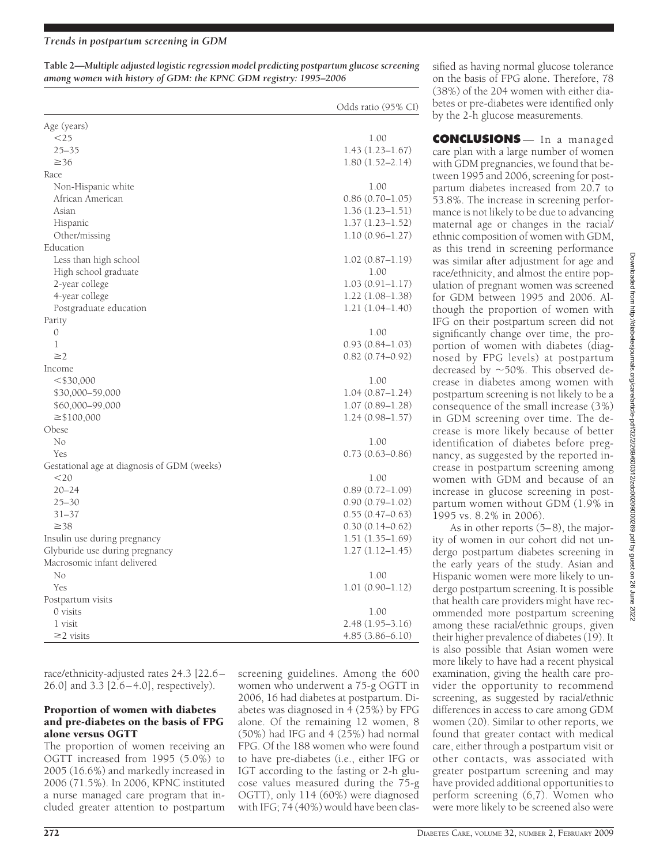**Table 2—***Multiple adjusted logistic regression model predicting postpartum glucose screening among women with history of GDM: the KPNC GDM registry: 1995–2006*

|                                             | Odds ratio (95% CI) |
|---------------------------------------------|---------------------|
| Age (years)                                 |                     |
| $<$ 25                                      | 1.00                |
| $25 - 35$                                   | $1.43(1.23 - 1.67)$ |
| $\geq 36$                                   | $1.80(1.52 - 2.14)$ |
| Race                                        |                     |
| Non-Hispanic white                          | 1.00                |
| African American                            | $0.86(0.70-1.05)$   |
| Asian                                       | $1.36(1.23 - 1.51)$ |
| Hispanic                                    | $1.37(1.23 - 1.52)$ |
| Other/missing                               | $1.10(0.96 - 1.27)$ |
| Education                                   |                     |
| Less than high school                       | $1.02(0.87-1.19)$   |
| High school graduate                        | 1.00                |
| 2-year college                              | 1.03 (0.91–1.17)    |
| 4-year college                              | $1.22(1.08-1.38)$   |
| Postgraduate education                      | $1.21(1.04-1.40)$   |
| Parity                                      |                     |
| $\mathcal{O}$                               | 1.00                |
| 1                                           | $0.93(0.84 - 1.03)$ |
| $\geq$ 2                                    | $0.82(0.74 - 0.92)$ |
| Income                                      |                     |
| $<$ \$30,000                                | 1.00                |
| \$30,000-59,000                             | $1.04(0.87 - 1.24)$ |
| \$60,000-99,000                             | $1.07(0.89 - 1.28)$ |
| $\geq$ \$100,000                            | $1.24(0.98 - 1.57)$ |
| Obese                                       |                     |
| No                                          | 1.00                |
| Yes                                         | $0.73(0.63 - 0.86)$ |
| Gestational age at diagnosis of GDM (weeks) |                     |
| $<$ 20                                      | 1.00                |
| $20 - 24$                                   | $0.89(0.72 - 1.09)$ |
| $25 - 30$                                   | $0.90(0.79 - 1.02)$ |
| $31 - 37$                                   | $0.55(0.47-0.63)$   |
| $\geq 38$                                   | $0.30(0.14 - 0.62)$ |
| Insulin use during pregnancy                | $1.51(1.35-1.69)$   |
| Glyburide use during pregnancy              | $1.27(1.12 - 1.45)$ |
| Macrosomic infant delivered                 |                     |
| No                                          | 1.00                |
| Yes                                         | $1.01(0.90 - 1.12)$ |
| Postpartum visits                           |                     |
| $0$ visits                                  | 1.00                |
| 1 visit                                     | 2.48 (1.95–3.16)    |
| $\geq$ visits                               | 4.85 (3.86–6.10)    |

sified as having normal glucose tolerance on the basis of FPG alone. Therefore, 78 (38%) of the 204 women with either diabetes or pre-diabetes were identified only by the 2-h glucose measurements.

**CONCLUSIONS** — In a managed care plan with a large number of women with GDM pregnancies, we found that between 1995 and 2006, screening for postpartum diabetes increased from 20.7 to 53.8%. The increase in screening performance is not likely to be due to advancing maternal age or changes in the racial/ ethnic composition of women with GDM, as this trend in screening performance was similar after adjustment for age and race/ethnicity, and almost the entire population of pregnant women was screened for GDM between 1995 and 2006. Although the proportion of women with IFG on their postpartum screen did not significantly change over time, the proportion of women with diabetes (diagnosed by FPG levels) at postpartum decreased by  $\sim$  50%. This observed decrease in diabetes among women with postpartum screening is not likely to be a consequence of the small increase (3%) in GDM screening over time. The decrease is more likely because of better identification of diabetes before pregnancy, as suggested by the reported increase in postpartum screening among women with GDM and because of an increase in glucose screening in postpartum women without GDM (1.9% in 1995 vs. 8.2% in 2006).

As in other reports (5–8), the majority of women in our cohort did not undergo postpartum diabetes screening in the early years of the study. Asian and Hispanic women were more likely to undergo postpartum screening. It is possible that health care providers might have recommended more postpartum screening among these racial/ethnic groups, given their higher prevalence of diabetes (19). It is also possible that Asian women were more likely to have had a recent physical examination, giving the health care provider the opportunity to recommend screening, as suggested by racial/ethnic differences in access to care among GDM women (20). Similar to other reports, we found that greater contact with medical care, either through a postpartum visit or other contacts, was associated with greater postpartum screening and may have provided additional opportunities to perform screening (6,7). Women who were more likely to be screened also were

race/ethnicity-adjusted rates 24.3 [22.6– 26.0] and 3.3 [2.6–4.0], respectively).

# Proportion of women with diabetes and pre-diabetes on the basis of FPG alone versus OGTT

The proportion of women receiving an OGTT increased from 1995 (5.0%) to 2005 (16.6%) and markedly increased in 2006 (71.5%). In 2006, KPNC instituted a nurse managed care program that included greater attention to postpartum screening guidelines. Among the 600 women who underwent a 75-g OGTT in 2006, 16 had diabetes at postpartum. Diabetes was diagnosed in 4 (25%) by FPG alone. Of the remaining 12 women, 8 (50%) had IFG and 4 (25%) had normal FPG. Of the 188 women who were found to have pre-diabetes (i.e., either IFG or IGT according to the fasting or 2-h glucose values measured during the 75-g OGTT), only 114 (60%) were diagnosed with IFG; 74 (40%) would have been clas-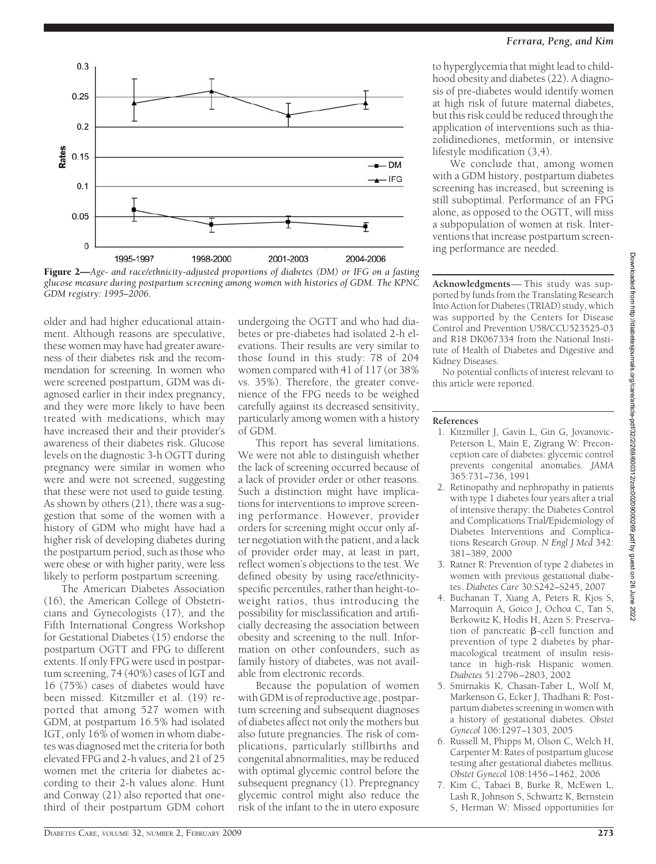



older and had higher educational attainment. Although reasons are speculative, these women may have had greater awareness of their diabetes risk and the recommendation for screening. In women who were screened postpartum, GDM was diagnosed earlier in their index pregnancy, and they were more likely to have been treated with medications, which may have increased their and their provider's awareness of their diabetes risk. Glucose levels on the diagnostic 3-h OGTT during pregnancy were similar in women who were and were not screened, suggesting that these were not used to guide testing. As shown by others (21), there was a suggestion that some of the women with a history of GDM who might have had a higher risk of developing diabetes during the postpartum period, such as those who were obese or with higher parity, were less likely to perform postpartum screening.

The American Diabetes Association (16), the American College of Obstetricians and Gynecologists (17), and the Fifth International Congress Workshop for Gestational Diabetes (15) endorse the postpartum OGTT and FPG to different extents. If only FPG were used in postpartum screening, 74 (40%) cases of IGT and 16 (75%) cases of diabetes would have been missed. Kitzmiller et al. (19) reported that among 527 women with GDM, at postpartum 16.5% had isolated IGT, only 16% of women in whom diabetes was diagnosed met the criteria for both elevated FPG and 2-h values, and 21 of 25 women met the criteria for diabetes according to their 2-h values alone. Hunt and Conway (21) also reported that onethird of their postpartum GDM cohort

undergoing the OGTT and who had diabetes or pre-diabetes had isolated 2-h elevations. Their results are very similar to those found in this study: 78 of 204 women compared with 41 of 117 (or 38% vs. 35%). Therefore, the greater convenience of the FPG needs to be weighed carefully against its decreased sensitivity, particularly among women with a history of GDM.

This report has several limitations. We were not able to distinguish whether the lack of screening occurred because of a lack of provider order or other reasons. Such a distinction might have implications for interventions to improve screening performance. However, provider orders for screening might occur only after negotiation with the patient, and a lack of provider order may, at least in part, reflect women's objections to the test. We defined obesity by using race/ethnicityspecific percentiles, rather than height-toweight ratios, thus introducing the possibility for misclassification and artificially decreasing the association between obesity and screening to the null. Information on other confounders, such as family history of diabetes, was not available from electronic records.

Because the population of women with GDM is of reproductive age, postpartum screening and subsequent diagnoses of diabetes affect not only the mothers but also future pregnancies. The risk of complications, particularly stillbirths and congenital abnormalities, may be reduced with optimal glycemic control before the subsequent pregnancy (1). Prepregnancy glycemic control might also reduce the risk of the infant to the in utero exposure

to hyperglycemia that might lead to childhood obesity and diabetes (22). A diagnosis of pre-diabetes would identify women at high risk of future maternal diabetes, but this risk could be reduced through the application of interventions such as thiazolidinediones, metformin, or intensive lifestyle modification (3,4).

We conclude that, among women with a GDM history, postpartum diabetes screening has increased, but screening is still suboptimal. Performance of an FPG alone, as opposed to the OGTT, will miss a subpopulation of women at risk. Interventions that increase postpartum screening performance are needed.

**Acknowledgments**— This study was supported by funds from the Translating Research Into Action for Diabetes (TRIAD) study, which was supported by the Centers for Disease Control and Prevention U58/CCU523525-03 and R18 DK067334 from the National Institute of Health of Diabetes and Digestive and Kidney Diseases.

No potential conflicts of interest relevant to this article were reported.

# **References**

- 1. Kitzmiller J, Gavin L, Gin G, Jovanovic-Peterson L, Main E, Zigrang W: Preconception care of diabetes: glycemic control prevents congenital anomalies. *JAMA* 365:731–736, 1991
- 2. Retinopathy and nephropathy in patients with type 1 diabetes four years after a trial of intensive therapy: the Diabetes Control and Complications Trial/Epidemiology of Diabetes Interventions and Complications Research Group. *N Engl J Med* 342: 381–389, 2000
- 3. Ratner R: Prevention of type 2 diabetes in women with previous gestational diabetes. *Diabetes Care* 30:S242–S245, 2007
- 4. Buchanan T, Xiang A, Peters R, Kjos S, Marroquin A, Goico J, Ochoa C, Tan S, Berkowitz K, Hodis H, Azen S: Preservation of pancreatic  $\beta$ -cell function and prevention of type 2 diabetes by pharmacological treatment of insulin resistance in high-risk Hispanic women. *Diabetes* 51:2796–2803, 2002
- 5. Smirnakis K, Chasan-Taber L, Wolf M, Markenson G, Ecker J, Thadhani R: Postpartum diabetes screening in women with a history of gestational diabetes. *Obstet Gynecol* 106:1297–1303, 2005
- 6. Russell M, Phipps M, Olson C, Welch H, Carpenter M: Rates of postpartum glucose testing after gestational diabetes mellitus. *Obstet Gynecol* 108:1456–1462, 2006
- 7. Kim C, Tabaei B, Burke R, McEwen L, Lash R, Johnson S, Schwartz K, Bernstein S, Herman W: Missed opportunities for